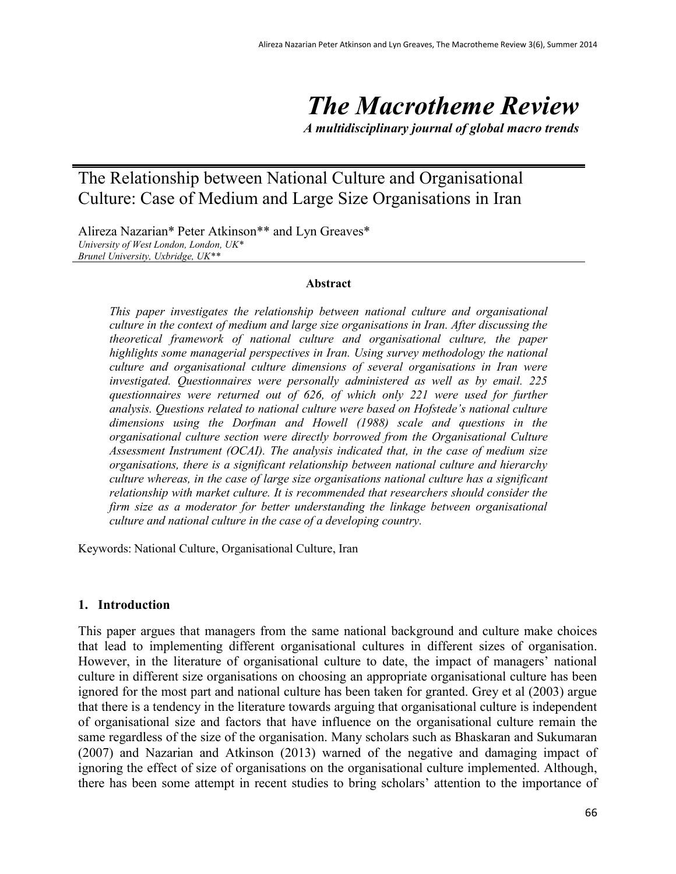# *The Macrotheme Review*

*A multidisciplinary journal of global macro trends*

# The Relationship between National Culture and Organisational Culture: Case of Medium and Large Size Organisations in Iran

Alireza Nazarian\* Peter Atkinson\*\* and Lyn Greaves\* *University of West London, London, UK\* Brunel University, Uxbridge, UK\*\**

#### **Abstract**

*This paper investigates the relationship between national culture and organisational culture in the context of medium and large size organisations in Iran. After discussing the theoretical framework of national culture and organisational culture, the paper highlights some managerial perspectives in Iran. Using survey methodology the national culture and organisational culture dimensions of several organisations in Iran were investigated. Questionnaires were personally administered as well as by email. 225 questionnaires were returned out of 626, of which only 221 were used for further analysis. Questions related to national culture were based on Hofstede's national culture dimensions using the Dorfman and Howell (1988) scale and questions in the organisational culture section were directly borrowed from the Organisational Culture Assessment Instrument (OCAI). The analysis indicated that, in the case of medium size organisations, there is a significant relationship between national culture and hierarchy culture whereas, in the case of large size organisations national culture has a significant relationship with market culture. It is recommended that researchers should consider the firm size as a moderator for better understanding the linkage between organisational culture and national culture in the case of a developing country.*

Keywords: National Culture, Organisational Culture, Iran

#### **1. Introduction**

This paper argues that managers from the same national background and culture make choices that lead to implementing different organisational cultures in different sizes of organisation. However, in the literature of organisational culture to date, the impact of managers' national culture in different size organisations on choosing an appropriate organisational culture has been ignored for the most part and national culture has been taken for granted. Grey et al (2003) argue that there is a tendency in the literature towards arguing that organisational culture is independent of organisational size and factors that have influence on the organisational culture remain the same regardless of the size of the organisation. Many scholars such as Bhaskaran and Sukumaran (2007) and Nazarian and Atkinson (2013) warned of the negative and damaging impact of ignoring the effect of size of organisations on the organisational culture implemented. Although, there has been some attempt in recent studies to bring scholars' attention to the importance of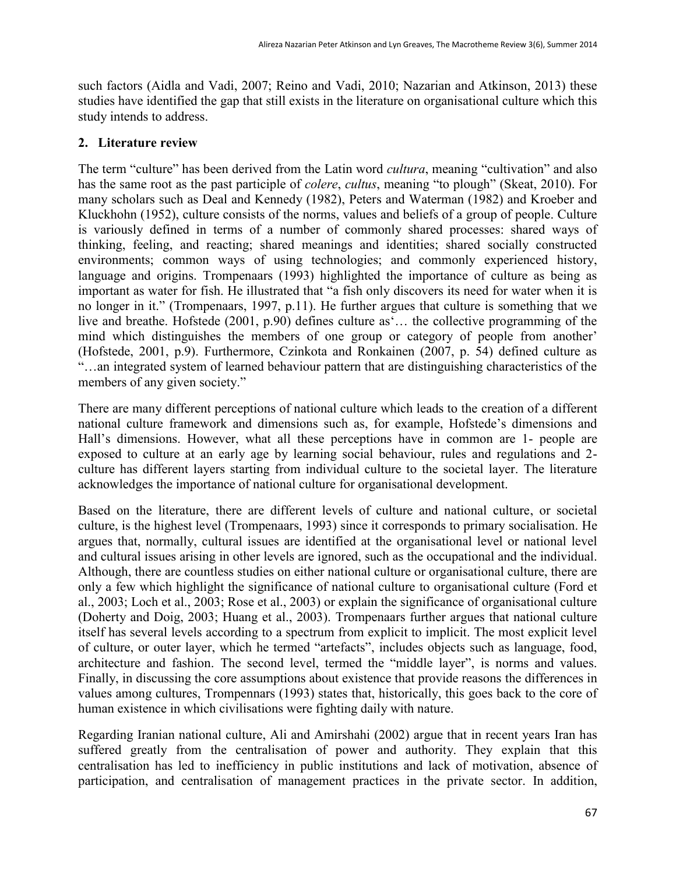such factors (Aidla and Vadi, 2007; Reino and Vadi, 2010; Nazarian and Atkinson, 2013) these studies have identified the gap that still exists in the literature on organisational culture which this study intends to address.

# **2. Literature review**

The term "culture" has been derived from the Latin word *cultura*, meaning "cultivation" and also has the same root as the past participle of *colere*, *cultus*, meaning "to plough" (Skeat, 2010). For many scholars such as Deal and Kennedy (1982), Peters and Waterman (1982) and Kroeber and Kluckhohn (1952), culture consists of the norms, values and beliefs of a group of people. Culture is variously defined in terms of a number of commonly shared processes: shared ways of thinking, feeling, and reacting; shared meanings and identities; shared socially constructed environments; common ways of using technologies; and commonly experienced history, language and origins. Trompenaars (1993) highlighted the importance of culture as being as important as water for fish. He illustrated that "a fish only discovers its need for water when it is no longer in it." (Trompenaars, 1997, p.11). He further argues that culture is something that we live and breathe. Hofstede (2001, p.90) defines culture as'… the collective programming of the mind which distinguishes the members of one group or category of people from another' (Hofstede, 2001, p.9). Furthermore, Czinkota and Ronkainen (2007, p. 54) defined culture as "…an integrated system of learned behaviour pattern that are distinguishing characteristics of the members of any given society."

There are many different perceptions of national culture which leads to the creation of a different national culture framework and dimensions such as, for example, Hofstede's dimensions and Hall's dimensions. However, what all these perceptions have in common are 1- people are exposed to culture at an early age by learning social behaviour, rules and regulations and 2 culture has different layers starting from individual culture to the societal layer. The literature acknowledges the importance of national culture for organisational development.

Based on the literature, there are different levels of culture and national culture, or societal culture, is the highest level (Trompenaars, 1993) since it corresponds to primary socialisation. He argues that, normally, cultural issues are identified at the organisational level or national level and cultural issues arising in other levels are ignored, such as the occupational and the individual. Although, there are countless studies on either national culture or organisational culture, there are only a few which highlight the significance of national culture to organisational culture (Ford et al., 2003; Loch et al., 2003; Rose et al., 2003) or explain the significance of organisational culture (Doherty and Doig, 2003; Huang et al., 2003). Trompenaars further argues that national culture itself has several levels according to a spectrum from explicit to implicit. The most explicit level of culture, or outer layer, which he termed "artefacts", includes objects such as language, food, architecture and fashion. The second level, termed the "middle layer", is norms and values. Finally, in discussing the core assumptions about existence that provide reasons the differences in values among cultures, Trompennars (1993) states that, historically, this goes back to the core of human existence in which civilisations were fighting daily with nature.

Regarding Iranian national culture, Ali and Amirshahi (2002) argue that in recent years Iran has suffered greatly from the centralisation of power and authority. They explain that this centralisation has led to inefficiency in public institutions and lack of motivation, absence of participation, and centralisation of management practices in the private sector. In addition,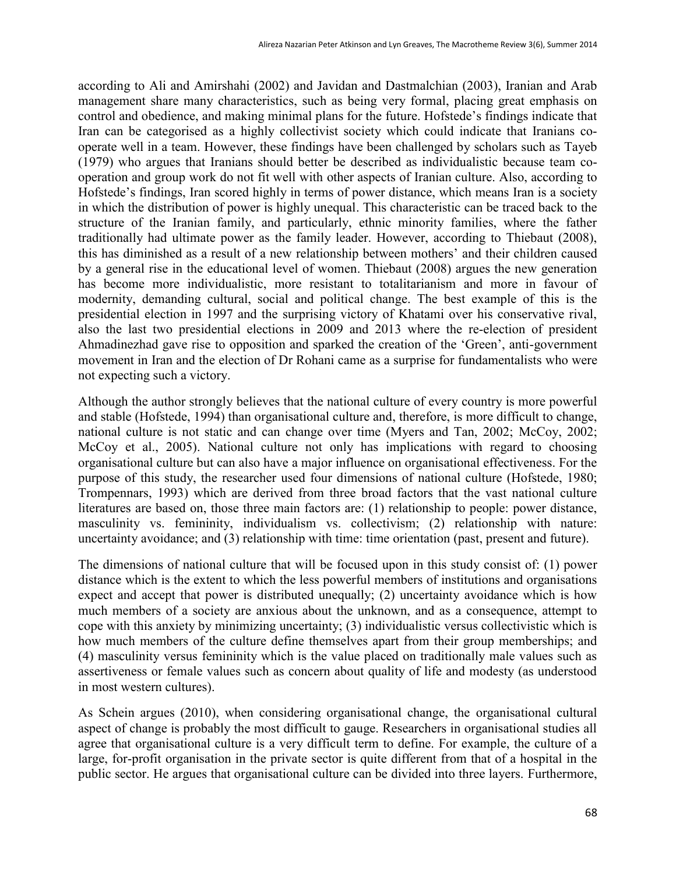according to Ali and Amirshahi (2002) and Javidan and Dastmalchian (2003), Iranian and Arab management share many characteristics, such as being very formal, placing great emphasis on control and obedience, and making minimal plans for the future. Hofstede's findings indicate that Iran can be categorised as a highly collectivist society which could indicate that Iranians cooperate well in a team. However, these findings have been challenged by scholars such as Tayeb (1979) who argues that Iranians should better be described as individualistic because team cooperation and group work do not fit well with other aspects of Iranian culture. Also, according to Hofstede's findings, Iran scored highly in terms of power distance, which means Iran is a society in which the distribution of power is highly unequal. This characteristic can be traced back to the structure of the Iranian family, and particularly, ethnic minority families, where the father traditionally had ultimate power as the family leader. However, according to Thiebaut (2008), this has diminished as a result of a new relationship between mothers' and their children caused by a general rise in the educational level of women. Thiebaut (2008) argues the new generation has become more individualistic, more resistant to totalitarianism and more in favour of modernity, demanding cultural, social and political change. The best example of this is the presidential election in 1997 and the surprising victory of Khatami over his conservative rival, also the last two presidential elections in 2009 and 2013 where the re-election of president Ahmadinezhad gave rise to opposition and sparked the creation of the 'Green', anti-government movement in Iran and the election of Dr Rohani came as a surprise for fundamentalists who were not expecting such a victory.

Although the author strongly believes that the national culture of every country is more powerful and stable (Hofstede, 1994) than organisational culture and, therefore, is more difficult to change, national culture is not static and can change over time (Myers and Tan, 2002; McCoy, 2002; McCoy et al., 2005). National culture not only has implications with regard to choosing organisational culture but can also have a major influence on organisational effectiveness. For the purpose of this study, the researcher used four dimensions of national culture (Hofstede, 1980; Trompennars, 1993) which are derived from three broad factors that the vast national culture literatures are based on, those three main factors are: (1) relationship to people: power distance, masculinity vs. femininity, individualism vs. collectivism; (2) relationship with nature: uncertainty avoidance; and (3) relationship with time: time orientation (past, present and future).

The dimensions of national culture that will be focused upon in this study consist of: (1) power distance which is the extent to which the less powerful members of institutions and organisations expect and accept that power is distributed unequally; (2) uncertainty avoidance which is how much members of a society are anxious about the unknown, and as a consequence, attempt to cope with this anxiety by minimizing uncertainty; (3) individualistic versus collectivistic which is how much members of the culture define themselves apart from their group memberships; and (4) masculinity versus femininity which is the value placed on traditionally male values such as assertiveness or female values such as concern about quality of life and modesty (as understood in most western cultures).

As Schein argues (2010), when considering organisational change, the organisational cultural aspect of change is probably the most difficult to gauge. Researchers in organisational studies all agree that organisational culture is a very difficult term to define. For example, the culture of a large, for-profit organisation in the private sector is quite different from that of a hospital in the public sector. He argues that organisational culture can be divided into three layers. Furthermore,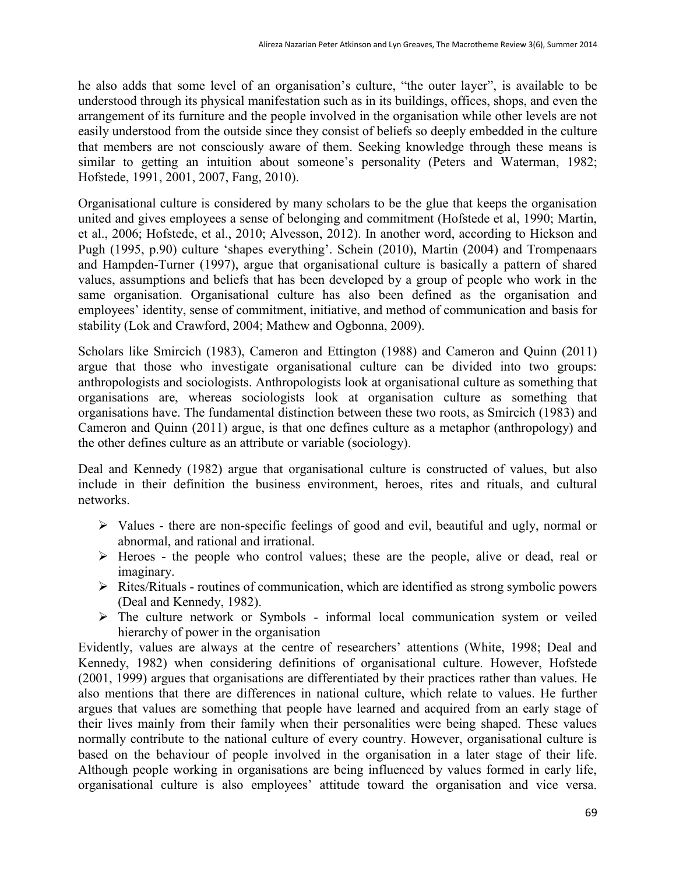he also adds that some level of an organisation's culture, "the outer layer", is available to be understood through its physical manifestation such as in its buildings, offices, shops, and even the arrangement of its furniture and the people involved in the organisation while other levels are not easily understood from the outside since they consist of beliefs so deeply embedded in the culture that members are not consciously aware of them. Seeking knowledge through these means is similar to getting an intuition about someone's personality (Peters and Waterman, 1982; Hofstede, 1991, 2001, 2007, Fang, 2010).

Organisational culture is considered by many scholars to be the glue that keeps the organisation united and gives employees a sense of belonging and commitment (Hofstede et al, 1990; Martin, et al., 2006; Hofstede, et al., 2010; Alvesson, 2012). In another word, according to Hickson and Pugh (1995, p.90) culture 'shapes everything'. Schein (2010), Martin (2004) and Trompenaars and Hampden-Turner (1997), argue that organisational culture is basically a pattern of shared values, assumptions and beliefs that has been developed by a group of people who work in the same organisation. Organisational culture has also been defined as the organisation and employees' identity, sense of commitment, initiative, and method of communication and basis for stability (Lok and Crawford, 2004; Mathew and Ogbonna, 2009).

Scholars like Smircich (1983), Cameron and Ettington (1988) and Cameron and Quinn (2011) argue that those who investigate organisational culture can be divided into two groups: anthropologists and sociologists. Anthropologists look at organisational culture as something that organisations are, whereas sociologists look at organisation culture as something that organisations have. The fundamental distinction between these two roots, as Smircich (1983) and Cameron and Quinn (2011) argue, is that one defines culture as a metaphor (anthropology) and the other defines culture as an attribute or variable (sociology).

Deal and Kennedy (1982) argue that organisational culture is constructed of values, but also include in their definition the business environment, heroes, rites and rituals, and cultural networks.

- $\triangleright$  Values there are non-specific feelings of good and evil, beautiful and ugly, normal or abnormal, and rational and irrational.
- $\triangleright$  Heroes the people who control values; these are the people, alive or dead, real or imaginary.
- $\triangleright$  Rites/Rituals routines of communication, which are identified as strong symbolic powers (Deal and Kennedy, 1982).
- The culture network or Symbols informal local communication system or veiled hierarchy of power in the organisation

Evidently, values are always at the centre of researchers' attentions (White, 1998; Deal and Kennedy, 1982) when considering definitions of organisational culture. However, Hofstede (2001, 1999) argues that organisations are differentiated by their practices rather than values. He also mentions that there are differences in national culture, which relate to values. He further argues that values are something that people have learned and acquired from an early stage of their lives mainly from their family when their personalities were being shaped. These values normally contribute to the national culture of every country. However, organisational culture is based on the behaviour of people involved in the organisation in a later stage of their life. Although people working in organisations are being influenced by values formed in early life, organisational culture is also employees' attitude toward the organisation and vice versa.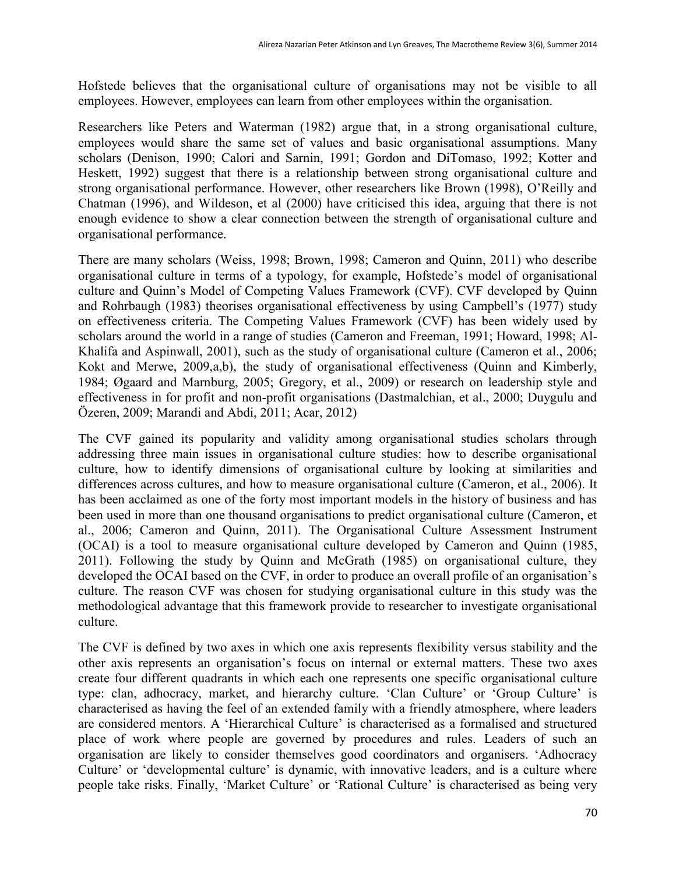Hofstede believes that the organisational culture of organisations may not be visible to all employees. However, employees can learn from other employees within the organisation.

Researchers like Peters and Waterman (1982) argue that, in a strong organisational culture, employees would share the same set of values and basic organisational assumptions. Many scholars (Denison, 1990; Calori and Sarnin, 1991; Gordon and DiTomaso, 1992; Kotter and Heskett, 1992) suggest that there is a relationship between strong organisational culture and strong organisational performance. However, other researchers like Brown (1998), O'Reilly and Chatman (1996), and Wildeson, et al (2000) have criticised this idea, arguing that there is not enough evidence to show a clear connection between the strength of organisational culture and organisational performance.

There are many scholars (Weiss, 1998; Brown, 1998; Cameron and Quinn, 2011) who describe organisational culture in terms of a typology, for example, Hofstede's model of organisational culture and Quinn's Model of Competing Values Framework (CVF). CVF developed by Quinn and Rohrbaugh (1983) theorises organisational effectiveness by using Campbell's (1977) study on effectiveness criteria. The Competing Values Framework (CVF) has been widely used by scholars around the world in a range of studies (Cameron and Freeman, 1991; Howard, 1998; Al-Khalifa and Aspinwall, 2001), such as the study of organisational culture (Cameron et al., 2006; Kokt and Merwe, 2009,a,b), the study of organisational effectiveness (Quinn and Kimberly, 1984; Øgaard and Marnburg, 2005; Gregory, et al., 2009) or research on leadership style and effectiveness in for profit and non-profit organisations (Dastmalchian, et al., 2000; Duygulu and Özeren, 2009; Marandi and Abdi, 2011; Acar, 2012)

The CVF gained its popularity and validity among organisational studies scholars through addressing three main issues in organisational culture studies: how to describe organisational culture, how to identify dimensions of organisational culture by looking at similarities and differences across cultures, and how to measure organisational culture (Cameron, et al., 2006). It has been acclaimed as one of the forty most important models in the history of business and has been used in more than one thousand organisations to predict organisational culture (Cameron, et al., 2006; Cameron and Quinn, 2011). The Organisational Culture Assessment Instrument (OCAI) is a tool to measure organisational culture developed by Cameron and Quinn (1985, 2011). Following the study by Quinn and McGrath (1985) on organisational culture, they developed the OCAI based on the CVF, in order to produce an overall profile of an organisation's culture. The reason CVF was chosen for studying organisational culture in this study was the methodological advantage that this framework provide to researcher to investigate organisational culture.

The CVF is defined by two axes in which one axis represents flexibility versus stability and the other axis represents an organisation's focus on internal or external matters. These two axes create four different quadrants in which each one represents one specific organisational culture type: clan, adhocracy, market, and hierarchy culture. 'Clan Culture' or 'Group Culture' is characterised as having the feel of an extended family with a friendly atmosphere, where leaders are considered mentors. A 'Hierarchical Culture' is characterised as a formalised and structured place of work where people are governed by procedures and rules. Leaders of such an organisation are likely to consider themselves good coordinators and organisers. 'Adhocracy Culture' or 'developmental culture' is dynamic, with innovative leaders, and is a culture where people take risks. Finally, 'Market Culture' or 'Rational Culture' is characterised as being very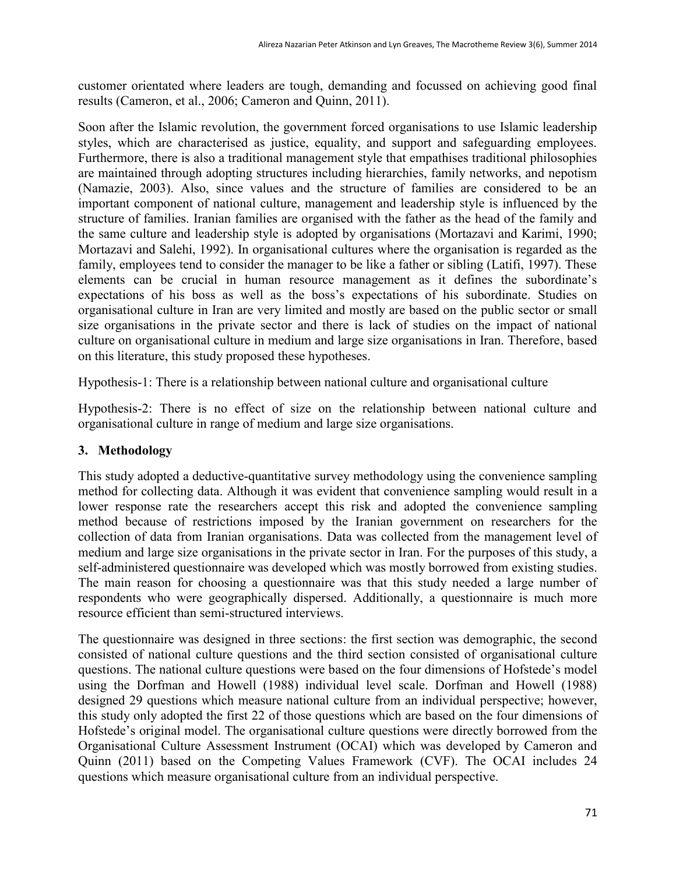customer orientated where leaders are tough, demanding and focussed on achieving good final results (Cameron, et al., 2006; Cameron and Quinn, 2011).

Soon after the Islamic revolution, the government forced organisations to use Islamic leadership styles, which are characterised as justice, equality, and support and safeguarding employees. Furthermore, there is also a traditional management style that empathises traditional philosophies are maintained through adopting structures including hierarchies, family networks, and nepotism (Namazie, 2003). Also, since values and the structure of families are considered to be an important component of national culture, management and leadership style is influenced by the structure of families. Iranian families are organised with the father as the head of the family and the same culture and leadership style is adopted by organisations (Mortazavi and Karimi, 1990; Mortazavi and Salehi, 1992). In organisational cultures where the organisation is regarded as the family, employees tend to consider the manager to be like a father or sibling (Latifi, 1997). These elements can be crucial in human resource management as it defines the subordinate's expectations of his boss as well as the boss's expectations of his subordinate. Studies on organisational culture in Iran are very limited and mostly are based on the public sector or small size organisations in the private sector and there is lack of studies on the impact of national culture on organisational culture in medium and large size organisations in Iran. Therefore, based on this literature, this study proposed these hypotheses.

Hypothesis-1: There is a relationship between national culture and organisational culture

Hypothesis-2: There is no effect of size on the relationship between national culture and organisational culture in range of medium and large size organisations.

# **3. Methodology**

This study adopted a deductive-quantitative survey methodology using the convenience sampling method for collecting data. Although it was evident that convenience sampling would result in a lower response rate the researchers accept this risk and adopted the convenience sampling method because of restrictions imposed by the Iranian government on researchers for the collection of data from Iranian organisations. Data was collected from the management level of medium and large size organisations in the private sector in Iran. For the purposes of this study, a self-administered questionnaire was developed which was mostly borrowed from existing studies. The main reason for choosing a questionnaire was that this study needed a large number of respondents who were geographically dispersed. Additionally, a questionnaire is much more resource efficient than semi-structured interviews.

The questionnaire was designed in three sections: the first section was demographic, the second consisted of national culture questions and the third section consisted of organisational culture questions. The national culture questions were based on the four dimensions of Hofstede's model using the Dorfman and Howell (1988) individual level scale. Dorfman and Howell (1988) designed 29 questions which measure national culture from an individual perspective; however, this study only adopted the first 22 of those questions which are based on the four dimensions of Hofstede's original model. The organisational culture questions were directly borrowed from the Organisational Culture Assessment Instrument (OCAI) which was developed by Cameron and Quinn (2011) based on the Competing Values Framework (CVF). The OCAI includes 24 questions which measure organisational culture from an individual perspective.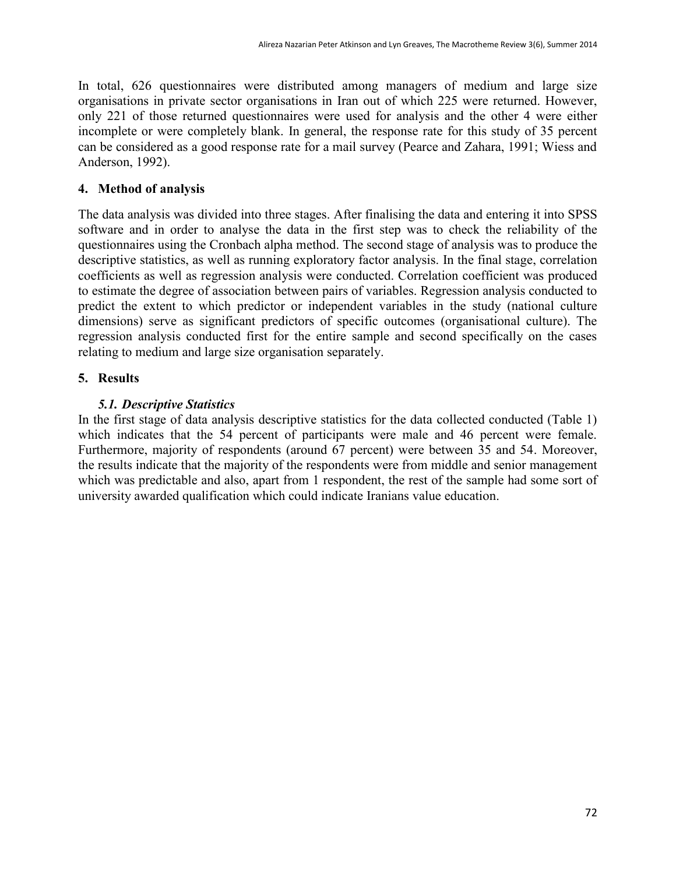In total, 626 questionnaires were distributed among managers of medium and large size organisations in private sector organisations in Iran out of which 225 were returned. However, only 221 of those returned questionnaires were used for analysis and the other 4 were either incomplete or were completely blank. In general, the response rate for this study of 35 percent can be considered as a good response rate for a mail survey (Pearce and Zahara, 1991; Wiess and Anderson, 1992).

## **4. Method of analysis**

The data analysis was divided into three stages. After finalising the data and entering it into SPSS software and in order to analyse the data in the first step was to check the reliability of the questionnaires using the Cronbach alpha method. The second stage of analysis was to produce the descriptive statistics, as well as running exploratory factor analysis. In the final stage, correlation coefficients as well as regression analysis were conducted. Correlation coefficient was produced to estimate the degree of association between pairs of variables. Regression analysis conducted to predict the extent to which predictor or independent variables in the study (national culture dimensions) serve as significant predictors of specific outcomes (organisational culture). The regression analysis conducted first for the entire sample and second specifically on the cases relating to medium and large size organisation separately.

# **5. Results**

## *5.1. Descriptive Statistics*

In the first stage of data analysis descriptive statistics for the data collected conducted (Table 1) which indicates that the 54 percent of participants were male and 46 percent were female. Furthermore, majority of respondents (around 67 percent) were between 35 and 54. Moreover, the results indicate that the majority of the respondents were from middle and senior management which was predictable and also, apart from 1 respondent, the rest of the sample had some sort of university awarded qualification which could indicate Iranians value education.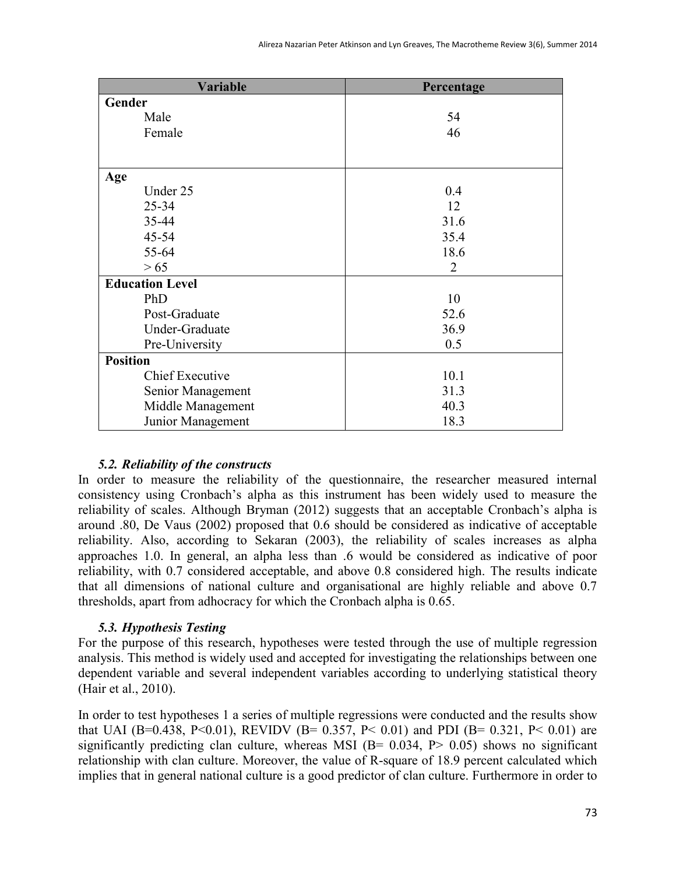| Variable               | Percentage     |
|------------------------|----------------|
| Gender                 |                |
| Male                   | 54             |
| Female                 | 46             |
|                        |                |
|                        |                |
| Age                    |                |
| Under 25               | 0.4            |
| $25 - 34$              | 12             |
| 35-44                  | 31.6           |
| $45 - 54$              | 35.4           |
| 55-64                  | 18.6           |
| > 65                   | $\overline{2}$ |
| <b>Education Level</b> |                |
| PhD                    | 10             |
| Post-Graduate          | 52.6           |
| Under-Graduate         | 36.9           |
| Pre-University         | 0.5            |
| <b>Position</b>        |                |
| <b>Chief Executive</b> | 10.1           |
| Senior Management      | 31.3           |
| Middle Management      | 40.3           |
| Junior Management      | 18.3           |

#### *5.2. Reliability of the constructs*

In order to measure the reliability of the questionnaire, the researcher measured internal consistency using Cronbach's alpha as this instrument has been widely used to measure the reliability of scales. Although Bryman (2012) suggests that an acceptable Cronbach's alpha is around .80, De Vaus (2002) proposed that 0.6 should be considered as indicative of acceptable reliability. Also, according to Sekaran (2003), the reliability of scales increases as alpha approaches 1.0. In general, an alpha less than .6 would be considered as indicative of poor reliability, with 0.7 considered acceptable, and above 0.8 considered high. The results indicate that all dimensions of national culture and organisational are highly reliable and above 0.7 thresholds, apart from adhocracy for which the Cronbach alpha is 0.65.

## *5.3. Hypothesis Testing*

For the purpose of this research, hypotheses were tested through the use of multiple regression analysis. This method is widely used and accepted for investigating the relationships between one dependent variable and several independent variables according to underlying statistical theory (Hair et al., 2010).

In order to test hypotheses 1 a series of multiple regressions were conducted and the results show that UAI (B=0.438, P<0.01), REVIDV (B= 0.357, P< 0.01) and PDI (B= 0.321, P< 0.01) are significantly predicting clan culture, whereas MSI ( $B = 0.034$ ,  $P > 0.05$ ) shows no significant relationship with clan culture. Moreover, the value of R-square of 18.9 percent calculated which implies that in general national culture is a good predictor of clan culture. Furthermore in order to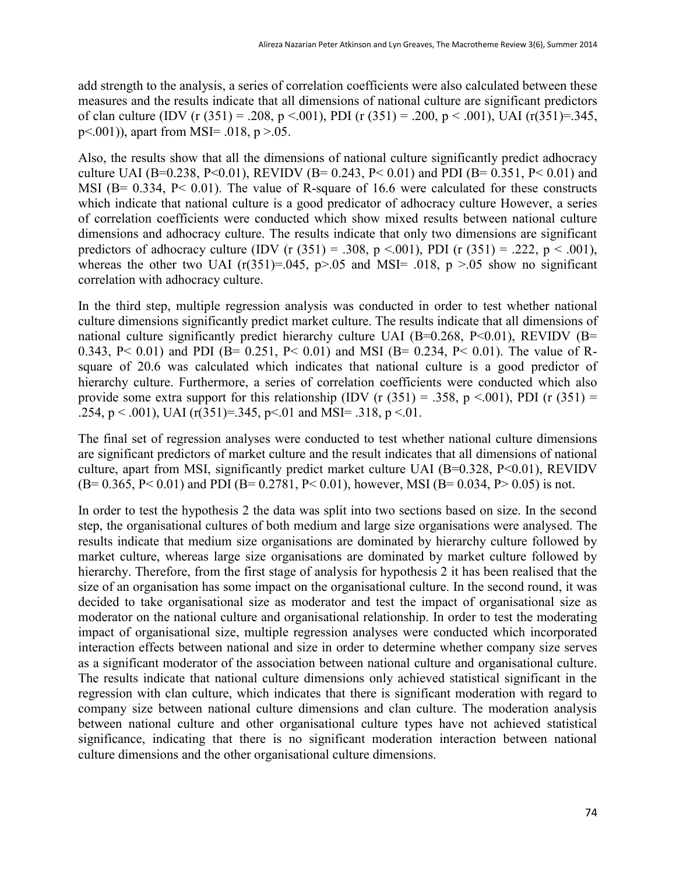add strength to the analysis, a series of correlation coefficients were also calculated between these measures and the results indicate that all dimensions of national culture are significant predictors of clan culture (IDV (r (351) = .208, p <.001), PDI (r (351) = .200, p < .001), UAI (r(351) = .345, p<.001)), apart from MSI= .018, p >.05.

Also, the results show that all the dimensions of national culture significantly predict adhocracy culture UAI (B=0.238, P<0.01), REVIDV (B= 0.243, P< 0.01) and PDI (B= 0.351, P< 0.01) and MSI (B= 0.334, P< 0.01). The value of R-square of 16.6 were calculated for these constructs which indicate that national culture is a good predicator of adhocracy culture However, a series of correlation coefficients were conducted which show mixed results between national culture dimensions and adhocracy culture. The results indicate that only two dimensions are significant predictors of adhocracy culture (IDV (r  $(351) = .308$ , p <.001), PDI (r  $(351) = .222$ , p < .001), whereas the other two UAI ( $r(351)=0.045$ ,  $p>0.05$  and MSI= .018,  $p>0.05$  show no significant correlation with adhocracy culture.

In the third step, multiple regression analysis was conducted in order to test whether national culture dimensions significantly predict market culture. The results indicate that all dimensions of national culture significantly predict hierarchy culture UAI (B=0.268, P<0.01), REVIDV (B= 0.343, P< 0.01) and PDI (B= 0.251, P< 0.01) and MSI (B= 0.234, P< 0.01). The value of Rsquare of 20.6 was calculated which indicates that national culture is a good predictor of hierarchy culture. Furthermore, a series of correlation coefficients were conducted which also provide some extra support for this relationship (IDV (r  $(351) = .358$ , p <.001), PDI (r  $(351) =$ .254, p < .001), UAI (r(351)=.345, p < .01 and MSI= .318, p < .01.

The final set of regression analyses were conducted to test whether national culture dimensions are significant predictors of market culture and the result indicates that all dimensions of national culture, apart from MSI, significantly predict market culture UAI (B=0.328, P<0.01), REVIDV  $(B= 0.365, P< 0.01)$  and PDI  $(B= 0.2781, P< 0.01)$ , however, MSI  $(B= 0.034, P> 0.05)$  is not.

In order to test the hypothesis 2 the data was split into two sections based on size. In the second step, the organisational cultures of both medium and large size organisations were analysed. The results indicate that medium size organisations are dominated by hierarchy culture followed by market culture, whereas large size organisations are dominated by market culture followed by hierarchy. Therefore, from the first stage of analysis for hypothesis 2 it has been realised that the size of an organisation has some impact on the organisational culture. In the second round, it was decided to take organisational size as moderator and test the impact of organisational size as moderator on the national culture and organisational relationship. In order to test the moderating impact of organisational size, multiple regression analyses were conducted which incorporated interaction effects between national and size in order to determine whether company size serves as a significant moderator of the association between national culture and organisational culture. The results indicate that national culture dimensions only achieved statistical significant in the regression with clan culture, which indicates that there is significant moderation with regard to company size between national culture dimensions and clan culture. The moderation analysis between national culture and other organisational culture types have not achieved statistical significance, indicating that there is no significant moderation interaction between national culture dimensions and the other organisational culture dimensions.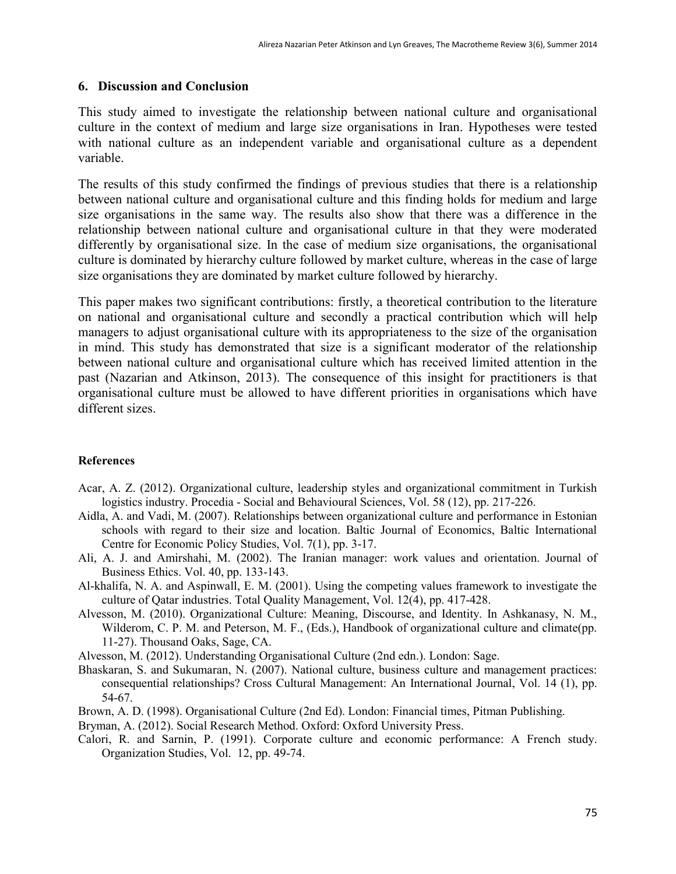#### **6. Discussion and Conclusion**

This study aimed to investigate the relationship between national culture and organisational culture in the context of medium and large size organisations in Iran. Hypotheses were tested with national culture as an independent variable and organisational culture as a dependent variable.

The results of this study confirmed the findings of previous studies that there is a relationship between national culture and organisational culture and this finding holds for medium and large size organisations in the same way. The results also show that there was a difference in the relationship between national culture and organisational culture in that they were moderated differently by organisational size. In the case of medium size organisations, the organisational culture is dominated by hierarchy culture followed by market culture, whereas in the case of large size organisations they are dominated by market culture followed by hierarchy.

This paper makes two significant contributions: firstly, a theoretical contribution to the literature on national and organisational culture and secondly a practical contribution which will help managers to adjust organisational culture with its appropriateness to the size of the organisation in mind. This study has demonstrated that size is a significant moderator of the relationship between national culture and organisational culture which has received limited attention in the past (Nazarian and Atkinson, 2013). The consequence of this insight for practitioners is that organisational culture must be allowed to have different priorities in organisations which have different sizes.

#### **References**

- Acar, A. Z. (2012). Organizational culture, leadership styles and organizational commitment in Turkish logistics industry. Procedia - Social and Behavioural Sciences, Vol. 58 (12), pp. 217-226.
- Aidla, A. and Vadi, M. (2007). Relationships between organizational culture and performance in Estonian schools with regard to their size and location. Baltic Journal of Economics, Baltic International Centre for Economic Policy Studies, Vol. 7(1), pp. 3-17.
- Ali, A. J. and Amirshahi, M. (2002). The Iranian manager: work values and orientation. Journal of Business Ethics. Vol. 40, pp. 133-143.
- Al-khalifa, N. A. and Aspinwall, E. M. (2001). Using the competing values framework to investigate the culture of Qatar industries. Total Quality Management, Vol. 12(4), pp. 417-428.
- Alvesson, M. (2010). Organizational Culture: Meaning, Discourse, and Identity. In Ashkanasy, N. M., Wilderom, C. P. M. and Peterson, M. F., (Eds.), Handbook of organizational culture and climate(pp. 11-27). Thousand Oaks, Sage, CA.
- Alvesson, M. (2012). Understanding Organisational Culture (2nd edn.). London: Sage.
- Bhaskaran, S. and Sukumaran, N. (2007). National culture, business culture and management practices: consequential relationships? Cross Cultural Management: An International Journal, Vol. 14 (1), pp. 54-67.
- Brown, A. D. (1998). Organisational Culture (2nd Ed). London: Financial times, Pitman Publishing.
- Bryman, A. (2012). Social Research Method. Oxford: Oxford University Press.
- Calori, R. and Sarnin, P. (1991). Corporate culture and economic performance: A French study. Organization Studies, Vol. 12, pp. 49-74.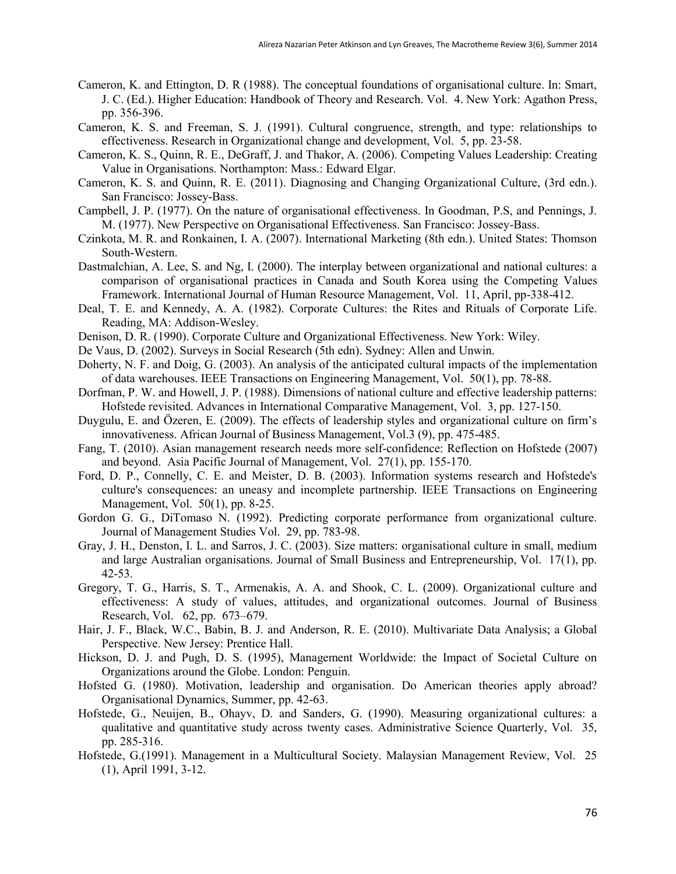- Cameron, K. and Ettington, D. R (1988). The conceptual foundations of organisational culture. In: Smart, J. C. (Ed.). Higher Education: Handbook of Theory and Research. Vol. 4. New York: Agathon Press, pp. 356-396.
- Cameron, K. S. and Freeman, S. J. (1991). Cultural congruence, strength, and type: relationships to effectiveness. Research in Organizational change and development, Vol. 5, pp. 23-58.
- Cameron, K. S., Quinn, R. E., DeGraff, J. and Thakor, A. (2006). Competing Values Leadership: Creating Value in Organisations. Northampton: Mass.: Edward Elgar.
- Cameron, K. S. and Quinn, R. E. (2011). Diagnosing and Changing Organizational Culture, (3rd edn.). San Francisco: Jossey-Bass.
- Campbell, J. P. (1977). On the nature of organisational effectiveness. In Goodman, P.S, and Pennings, J. M. (1977). New Perspective on Organisational Effectiveness. San Francisco: Jossey-Bass.
- Czinkota, M. R. and Ronkainen, I. A. (2007). International Marketing (8th edn.). United States: Thomson South-Western.
- Dastmalchian, A. Lee, S. and Ng, I. (2000). The interplay between organizational and national cultures: a comparison of organisational practices in Canada and South Korea using the Competing Values Framework. International Journal of Human Resource Management, Vol. 11, April, pp-338-412.
- Deal, T. E. and Kennedy, A. A. (1982). Corporate Cultures: the Rites and Rituals of Corporate Life. Reading, MA: Addison-Wesley.
- Denison, D. R. (1990). Corporate Culture and Organizational Effectiveness. New York: Wiley.
- De Vaus, D. (2002). Surveys in Social Research (5th edn). Sydney: Allen and Unwin.
- Doherty, N. F. and Doig, G. (2003). An analysis of the anticipated cultural impacts of the implementation of data warehouses. IEEE Transactions on Engineering Management, Vol. 50(1), pp. 78-88.
- Dorfman, P. W. and Howell, J. P. (1988). Dimensions of national culture and effective leadership patterns: Hofstede revisited. Advances in International Comparative Management, Vol. 3, pp. 127-150.
- Duygulu, E. and Özeren, E. (2009). The effects of leadership styles and organizational culture on firm's innovativeness. African Journal of Business Management, Vol.3 (9), pp. 475-485.
- Fang, T. (2010). Asian management research needs more self-confidence: Reflection on Hofstede (2007) and beyond. Asia Pacific Journal of Management, Vol. 27(1), pp. 155-170.
- Ford, D. P., Connelly, C. E. and Meister, D. B. (2003). Information systems research and Hofstede's culture's consequences: an uneasy and incomplete partnership. IEEE Transactions on Engineering Management, Vol. 50(1), pp. 8-25.
- Gordon G. G., DiTomaso N. (1992). Predicting corporate performance from organizational culture. Journal of Management Studies Vol. 29, pp. 783-98.
- Gray, J. H., Denston, I. L. and Sarros, J. C. (2003). Size matters: organisational culture in small, medium and large Australian organisations. Journal of Small Business and Entrepreneurship, Vol. 17(1), pp. 42-53.
- Gregory, T. G., Harris, S. T., Armenakis, A. A. and Shook, C. L. (2009). Organizational culture and effectiveness: A study of values, attitudes, and organizational outcomes. Journal of Business Research, Vol. 62, pp. 673–679.
- Hair, J. F., Black, W.C., Babin, B. J. and Anderson, R. E. (2010). Multivariate Data Analysis; a Global Perspective. New Jersey: Prentice Hall.
- Hickson, D. J. and Pugh, D. S. (1995), Management Worldwide: the Impact of Societal Culture on Organizations around the Globe. London: Penguin.
- Hofsted G. (1980). Motivation, leadership and organisation. Do American theories apply abroad? Organisational Dynamics, Summer, pp. 42-63.
- Hofstede, G., Neuijen, B., Ohayv, D. and Sanders, G. (1990). Measuring organizational cultures: a qualitative and quantitative study across twenty cases. Administrative Science Quarterly, Vol. 35, pp. 285-316.
- Hofstede, G.(1991). Management in a Multicultural Society. Malaysian Management Review, Vol. 25 (1), April 1991, 3-12.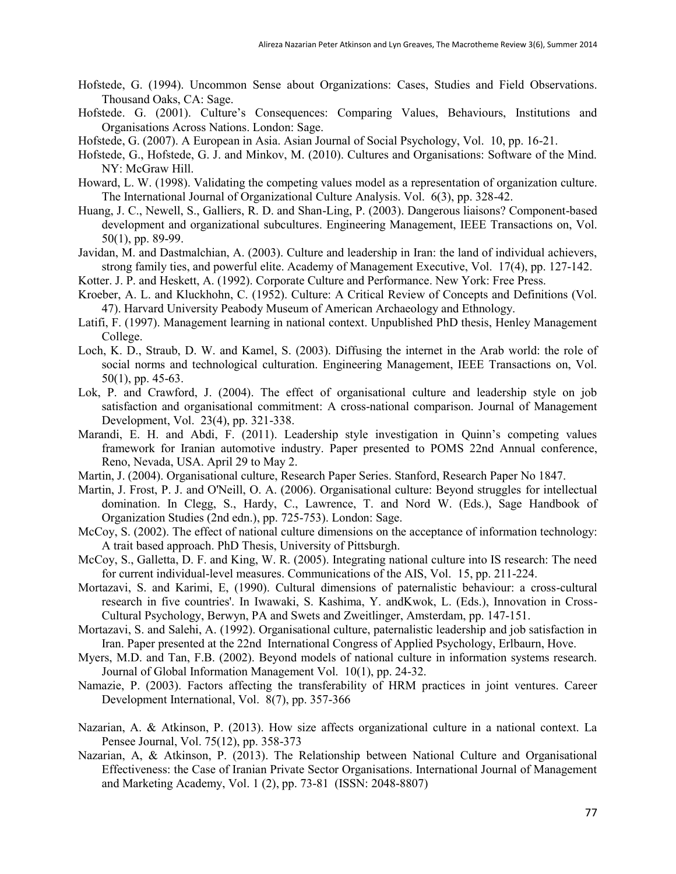- Hofstede, G. (1994). Uncommon Sense about Organizations: Cases, Studies and Field Observations. Thousand Oaks, CA: Sage.
- Hofstede. G. (2001). Culture's Consequences: Comparing Values, Behaviours, Institutions and Organisations Across Nations. London: Sage.
- Hofstede, G. (2007). A European in Asia. Asian Journal of Social Psychology, Vol. 10, pp. 16-21.
- Hofstede, G., Hofstede, G. J. and Minkov, M. (2010). Cultures and Organisations: Software of the Mind. NY: McGraw Hill.
- Howard, L. W. (1998). Validating the competing values model as a representation of organization culture. The International Journal of Organizational Culture Analysis. Vol. 6(3), pp. 328-42.
- Huang, J. C., Newell, S., Galliers, R. D. and Shan-Ling, P. (2003). Dangerous liaisons? Component-based development and organizational subcultures. Engineering Management, IEEE Transactions on, Vol. 50(1), pp. 89-99.
- Javidan, M. and Dastmalchian, A. (2003). Culture and leadership in Iran: the land of individual achievers, strong family ties, and powerful elite. Academy of Management Executive, Vol. 17(4), pp. 127-142.
- Kotter. J. P. and Heskett, A. (1992). Corporate Culture and Performance. New York: Free Press.
- Kroeber, A. L. and Kluckhohn, C. (1952). Culture: A Critical Review of Concepts and Definitions (Vol. 47). Harvard University Peabody Museum of American Archaeology and Ethnology.
- Latifi, F. (1997). Management learning in national context. Unpublished PhD thesis, Henley Management College.
- Loch, K. D., Straub, D. W. and Kamel, S. (2003). Diffusing the internet in the Arab world: the role of social norms and technological culturation. Engineering Management, IEEE Transactions on, Vol. 50(1), pp. 45-63.
- Lok, P. and Crawford, J. (2004). The effect of organisational culture and leadership style on job satisfaction and organisational commitment: A cross-national comparison. Journal of Management Development, Vol. 23(4), pp. 321-338.
- Marandi, E. H. and Abdi, F. (2011). Leadership style investigation in Quinn's competing values framework for Iranian automotive industry. Paper presented to POMS 22nd Annual conference, Reno, Nevada, USA. April 29 to May 2.
- Martin, J. (2004). Organisational culture, Research Paper Series. Stanford, Research Paper No 1847.
- Martin, J. Frost, P. J. and O'Neill, O. A. (2006). Organisational culture: Beyond struggles for intellectual domination. In Clegg, S., Hardy, C., Lawrence, T. and Nord W. (Eds.), Sage Handbook of Organization Studies (2nd edn.), pp. 725-753). London: Sage.
- McCoy, S. (2002). The effect of national culture dimensions on the acceptance of information technology: A trait based approach. PhD Thesis, University of Pittsburgh.
- McCoy, S., Galletta, D. F. and King, W. R. (2005). Integrating national culture into IS research: The need for current individual-level measures. Communications of the AIS, Vol. 15, pp. 211-224.
- Mortazavi, S. and Karimi, E, (1990). Cultural dimensions of paternalistic behaviour: a cross-cultural research in five countries'. In Iwawaki, S. Kashima, Y. andKwok, L. (Eds.), Innovation in Cross-Cultural Psychology, Berwyn, PA and Swets and Zweitlinger, Amsterdam, pp. 147-151.
- Mortazavi, S. and Salehi, A. (1992). Organisational culture, paternalistic leadership and job satisfaction in Iran. Paper presented at the 22nd International Congress of Applied Psychology, Erlbaurn, Hove.
- Myers, M.D. and Tan, F.B. (2002). Beyond models of national culture in information systems research. Journal of Global Information Management Vol. 10(1), pp. 24-32.
- Namazie, P. (2003). Factors affecting the transferability of HRM practices in joint ventures. Career Development International, Vol. 8(7), pp. 357-366
- Nazarian, A. & Atkinson, P. (2013). How size affects organizational culture in a national context. La Pensee Journal, Vol. 75(12), pp. 358-373
- Nazarian, A, & Atkinson, P. (2013). The Relationship between National Culture and Organisational Effectiveness: the Case of Iranian Private Sector Organisations. International Journal of Management and Marketing Academy, Vol. 1 (2), pp. 73-81 (ISSN: 2048-8807)